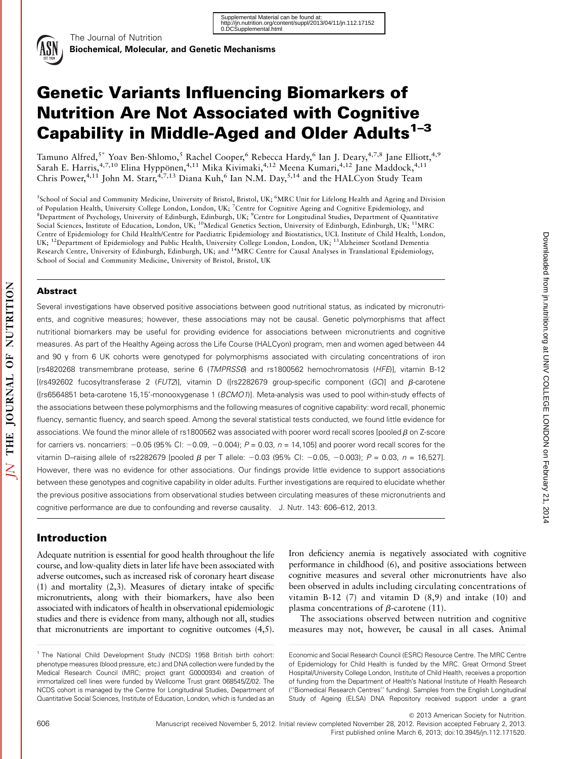

The Journal of Nutrition

# Genetic Variants Influencing Biomarkers of Nutrition Are Not Associated with Cognitive Capability in Middle-Aged and Older Adults<sup>1-3</sup>

Tamuno Alfred,<sup>5\*</sup> Yoav Ben-Shlomo,<sup>5</sup> Rachel Cooper,<sup>6</sup> Rebecca Hardy,<sup>6</sup> Ian J. Deary,<sup>4,7,8</sup> Jane Elliott,<sup>4,9</sup> Sarah E. Harris,<sup>4,7,10</sup> Elina Hyppönen,<sup>4,11</sup> Mika Kivimaki,<sup>4,12</sup> Meena Kumari,<sup>4,12</sup> Jane Maddock,<sup>4,11</sup> Chris Power,<sup>4,11</sup> John M. Starr,<sup>4,7,13</sup> Diana Kuh,<sup>6</sup> Ian N.M. Day,<sup>5,14</sup> and the HALCyon Study Team

<sup>5</sup>School of Social and Community Medicine, University of Bristol, Bristol, UK; <sup>6</sup>MRC Unit for Lifelong Health and Ageing and Division of Population Health, University College London, London, UK; <sup>7</sup>Centre for Cognitive Ageing and Cognitive Epidemiology, and <sup>8</sup>Department of Psychology, University of Edinburgh, Edinburgh, UK; <sup>9</sup>Centre for Longitudinal Studies, Department of Quantitative Social Sciences, Institute of Education, London, UK; <sup>10</sup>Medical Genetics Section, University of Edinburgh, Edinburgh, UK; <sup>11</sup>MRC Centre of Epidemiology for Child Health/Centre for Paediatric Epidemiology and Biostatistics, UCL Institute of Child Health, London, UK; 12Department of Epidemiology and Public Health, University College London, London, UK; 13Alzheimer Scotland Dementia Research Centre, University of Edinburgh, Edinburgh, UK; and <sup>14</sup>MRC Centre for Causal Analyses in Translational Epidemiology, School of Social and Community Medicine, University of Bristol, Bristol, UK

## Abstract

Several investigations have observed positive associations between good nutritional status, as indicated by micronutrients, and cognitive measures; however, these associations may not be causal. Genetic polymorphisms that affect nutritional biomarkers may be useful for providing evidence for associations between micronutrients and cognitive measures. As part of the Healthy Ageing across the Life Course (HALCyon) program, men and women aged between 44 and 90 y from 6 UK cohorts were genotyped for polymorphisms associated with circulating concentrations of iron [rs4820268 transmembrane protease, serine 6 (TMPRSS6) and rs1800562 hemochromatosis (HFE)], vitamin B-12  $[$ (rs492602 fucosyltransferase 2 (FUT2)], vitamin D ([rs2282679 group-specific component (GC)] and  $\beta$ -carotene ([rs6564851 beta-carotene 15,15'-monooxygenase 1 (BCMO1)]. Meta-analysis was used to pool within-study effects of the associations between these polymorphisms and the following measures of cognitive capability: word recall, phonemic fluency, semantic fluency, and search speed. Among the several statistical tests conducted, we found little evidence for associations. We found the minor allele of rs1800562 was associated with poorer word recall scores [pooled  $\beta$  on Z-score for carriers vs. noncarriers:  $-0.05$  (95% CI:  $-0.09$ ,  $-0.004$ );  $P = 0.03$ ,  $n = 14,105$ ] and poorer word recall scores for the vitamin D–raising allele of rs2282679 [pooled  $\beta$  per T allele: -0.03 (95% CI: -0.05, -0.003); P = 0.03, n = 16,527]. However, there was no evidence for other associations. Our findings provide little evidence to support associations between these genotypes and cognitive capability in older adults. Further investigations are required to elucidate whether the previous positive associations from observational studies between circulating measures of these micronutrients and cognitive performance are due to confounding and reverse causality. J. Nutr. 143: 606–612, 2013.

# Introduction

Adequate nutrition is essential for good health throughout the life course, and low-quality diets in later life have been associated with adverse outcomes, such as increased risk of coronary heart disease (1) and mortality (2,3). Measures of dietary intake of specific micronutrients, along with their biomarkers, have also been associated with indicators of health in observational epidemiologic studies and there is evidence from many, although not all, studies that micronutrients are important to cognitive outcomes (4,5).

Iron deficiency anemia is negatively associated with cognitive performance in childhood (6), and positive associations between cognitive measures and several other micronutrients have also been observed in adults including circulating concentrations of vitamin B-12 (7) and vitamin D (8,9) and intake (10) and plasma concentrations of  $\beta$ -carotene (11).

The associations observed between nutrition and cognitive measures may not, however, be causal in all cases. Animal Downloaded from in rutrition.org at UNIV COLLEGE LONDON on February 21, 2014

Downloaded from jn.nutrition.org at UNIV COLLEGE LONDON on February 21, 2014

<sup>&</sup>lt;sup>1</sup> The National Child Development Study (NCDS) 1958 British birth cohort: phenotype measures (blood pressure, etc.) and DNA collection were funded by the Medical Research Council (MRC; project grant G0000934) and creation of immortalized cell lines were funded by Wellcome Trust grant 068545/Z/02. The NCDS cohort is managed by the Centre for Longitudinal Studies, Department of Quantitative Social Sciences, Institute of Education, London, which is funded as an

Economic and Social Research Council (ESRC) Resource Centre. The MRC Centre of Epidemiology for Child Health is funded by the MRC. Great Ormond Street Hospital/University College London, Institute of Child Health, receives a proportion of funding from the Department of Health's National Institute of Health Research (''Biomedical Research Centres'' funding). Samples from the English Longitudinal Study of Ageing (ELSA) DNA Repository received support under a grant

 $©$  2013 American Society for Nutrition. 606 Manuscript received November 5, 2012. Initial review completed November 28, 2012. Revision accepted February 2, 2013. First published online March 6, 2013; doi:10.3945/jn.112.171520.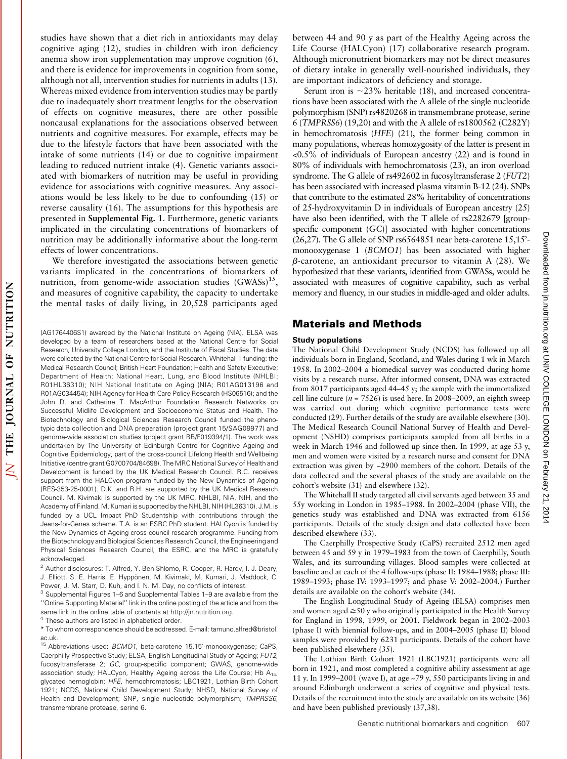studies have shown that a diet rich in antioxidants may delay cognitive aging (12), studies in children with iron deficiency anemia show iron supplementation may improve cognition (6), and there is evidence for improvements in cognition from some, although not all, intervention studies for nutrients in adults (13). Whereas mixed evidence from intervention studies may be partly due to inadequately short treatment lengths for the observation of effects on cognitive measures, there are other possible noncausal explanations for the associations observed between nutrients and cognitive measures. For example, effects may be due to the lifestyle factors that have been associated with the intake of some nutrients (14) or due to cognitive impairment leading to reduced nutrient intake (4). Genetic variants associated with biomarkers of nutrition may be useful in providing evidence for associations with cognitive measures. Any associations would be less likely to be due to confounding (15) or reverse causality (16). The assumptions for this hypothesis are presented in Supplemental Fig. 1. Furthermore, genetic variants implicated in the circulating concentrations of biomarkers of nutrition may be additionally informative about the long-term effects of lower concentrations.

We therefore investigated the associations between genetic variants implicated in the concentrations of biomarkers of nutrition, from genome-wide association studies (GWASs)<sup>15</sup>, and measures of cognitive capability, the capacity to undertake the mental tasks of daily living, in 20,528 participants aged between 44 and 90 y as part of the Healthy Ageing across the Life Course (HALCyon) (17) collaborative research program. Although micronutrient biomarkers may not be direct measures of dietary intake in generally well-nourished individuals, they are important indicators of deficiency and storage.

Serum iron is  $\sim$ 23% heritable (18), and increased concentrations have been associated with the A allele of the single nucleotide polymorphism (SNP) rs4820268 in transmembrane protease, serine 6 (TMPRSS6) (19,20) and with the A allele of rs1800562 (C282Y) in hemochromatosis (HFE) (21), the former being common in many populations, whereas homozygosity of the latter is present in <0.5% of individuals of European ancestry (22) and is found in 80% of individuals with hemochromatosis (23), an iron overload syndrome. The G allele of rs492602 in fucosyltransferase 2 (FUT2) has been associated with increased plasma vitamin B-12 (24). SNPs that contribute to the estimated 28% heritability of concentrations of 25-hydroxyvitamin D in individuals of European ancestry (25) have also been identified, with the T allele of rs2282679 [groupspecific component (GC)] associated with higher concentrations (26,27). The G allele of SNP rs6564851 near beta-carotene 15,15' monooxygenase 1 (BCMO1) has been associated with higher  $\beta$ -carotene, an antioxidant precursor to vitamin A (28). We hypothesized that these variants, identified from GWASs, would be associated with measures of cognitive capability, such as verbal memory and fluency, in our studies in middle-aged and older adults.

## Materials and Methods

#### Study populations

The National Child Development Study (NCDS) has followed up all individuals born in England, Scotland, and Wales during 1 wk in March 1958. In 2002–2004 a biomedical survey was conducted during home visits by a research nurse. After informed consent, DNA was extracted from 8017 participants aged 44–45 y; the sample with the immortalized cell line culture ( $n = 7526$ ) is used here. In 2008–2009, an eighth sweep was carried out during which cognitive performance tests were conducted (29). Further details of the study are available elsewhere (30). The Medical Research Council National Survey of Health and Development (NSHD) comprises participants sampled from all births in a week in March 1946 and followed up since then. In 1999, at age 53 y, men and women were visited by a research nurse and consent for DNA extraction was given by ~2900 members of the cohort. Details of the data collected and the several phases of the study are available on the cohort's website (31) and elsewhere (32).

The Whitehall II study targeted all civil servants aged between 35 and 55y working in London in 1985–1988. In 2002–2004 (phase VII), the genetics study was established and DNA was extracted from 6156 participants. Details of the study design and data collected have been described elsewhere (33).

The Caerphilly Prospective Study (CaPS) recruited 2512 men aged between 45 and 59 y in 1979–1983 from the town of Caerphilly, South Wales, and its surrounding villages. Blood samples were collected at baseline and at each of the 4 follow-ups (phase II: 1984–1988; phase III: 1989–1993; phase IV: 1993–1997; and phase V: 2002–2004.) Further details are available on the cohort's website (34).

The English Longitudinal Study of Ageing (ELSA) comprises men and women aged  $\geq$ 50 y who originally participated in the Health Survey for England in 1998, 1999, or 2001. Fieldwork began in 2002–2003 (phase I) with biennial follow-ups, and in 2004–2005 (phase II) blood samples were provided by 6231 participants. Details of the cohort have been published elsewhere (35).

The Lothian Birth Cohort 1921 (LBC1921) participants were all born in 1921, and most completed a cognitive ability assessment at age 11 y. In 1999–2001 (wave I), at age ~79 y, 550 participants living in and around Edinburgh underwent a series of cognitive and physical tests. Details of the recruitment into the study are available on its website (36) and have been published previously (37,38).

<sup>(</sup>AG1764406S1) awarded by the National Institute on Ageing (NIA). ELSA was developed by a team of researchers based at the National Centre for Social Research, University College London, and the Institute of Fiscal Studies. The data were collected by the National Centre for Social Research. Whitehall II funding: the Medical Research Council; British Heart Foundation; Health and Safety Executive; Department of Health; National Heart, Lung, and Blood Institute (NHLBI; R01HL36310); NIH National Institute on Aging (NIA; R01AG013196 and R01AG034454); NIH Agency for Health Care Policy Research (HS06516); and the John D. and Catherine T. MacArthur Foundation Research Networks on Successful Midlife Development and Socioeconomic Status and Health. The Biotechnology and Biological Sciences Research Council funded the phenotypic data collection and DNA preparation (project grant 15/SAG09977) and genome-wide association studies (project grant BB/F019394/1). The work was undertaken by The University of Edinburgh Centre for Cognitive Ageing and Cognitive Epidemiology, part of the cross-council Lifelong Health and Wellbeing Initiative (centre grant G0700704/84698). The MRC National Survey of Health and Development is funded by the UK Medical Research Council. R.C. receives support from the HALCyon program funded by the New Dynamics of Ageing (RES-353-25-0001). D.K. and R.H. are supported by the UK Medical Research Council. M. Kivimaki is supported by the UK MRC, NHLBI, NIA, NIH, and the Academy of Finland. M. Kumari is supported by the NHLBI, NIH (HL36310). J.M. is funded by a UCL Impact PhD Studentship with contributions through the Jeans-for-Genes scheme. T.A. is an ESRC PhD student. HALCyon is funded by the New Dynamics of Ageing cross council research programme. Funding from the Biotechnology and Biological Sciences Research Council, the Engineering and Physical Sciences Research Council, the ESRC, and the MRC is gratefully acknowledged.

<sup>2</sup> Author disclosures: T. Alfred, Y. Ben-Shlomo, R. Cooper, R. Hardy, I. J. Deary, J. Elliott, S. E. Harris, E. Hyppönen, M. Kivimaki, M. Kumari, J. Maddock, C. Power, J. M. Starr, D. Kuh, and I. N. M. Day, no conflicts of interest.

<sup>3</sup> Supplemental Figures 1–6 and Supplemental Tables 1–9 are available from the ''Online Supporting Material'' link in the online posting of the article and from the same link in the online table of contents at http://jn.nutrition.org.

<sup>4</sup> These authors are listed in alphabetical order.

<sup>\*</sup> To whom correspondence should be addressed. E-mail: tamuno.alfred@bristol. ac.uk.

<sup>&</sup>lt;sup>15</sup> Abbreviations used: BCMO1, beta-carotene 15,15'-monooxygenase; CaPS, Caerphilly Prospective Study; ELSA, English Longitudinal Study of Ageing; FUT2, fucosyltransferase 2; GC, group-specific component; GWAS, genome-wide association study; HALCyon, Healthy Ageing across the Life Course; Hb  $A_{1c}$ , glycated hemoglobin; HFE, hemochromatosis; LBC1921, Lothian Birth Cohort 1921; NCDS, National Child Development Study; NHSD, National Survey of Health and Development; SNP, single nucleotide polymorphism; TMPRSS6, transmembrane protease, serine 6.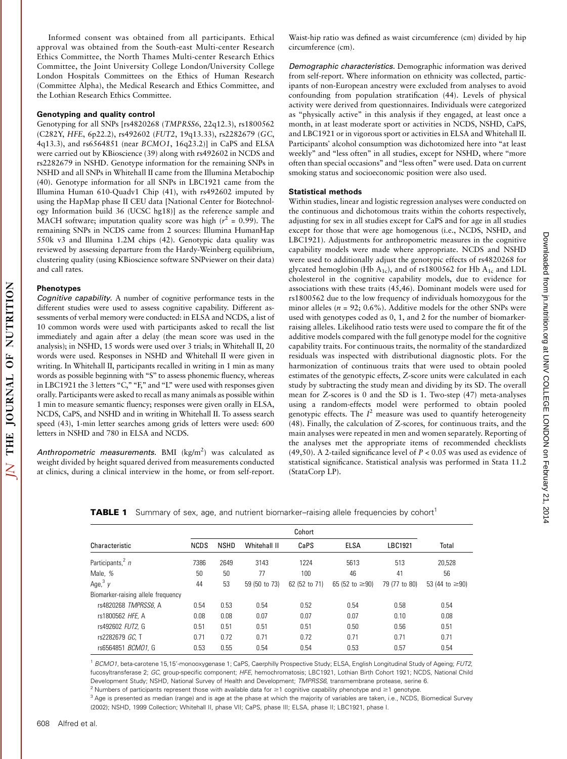Downloaded from jn.nutrition.org at UNIV COLLEGE LONDON on February 21, 2014 Downloaded from in rutrition.org at UNIV COLLEGE LONDON on February 21, 2014

Informed consent was obtained from all participants. Ethical approval was obtained from the South-east Multi-center Research Ethics Committee, the North Thames Multi-center Research Ethics Committee, the Joint University College London/University College London Hospitals Committees on the Ethics of Human Research (Committee Alpha), the Medical Research and Ethics Committee, and the Lothian Research Ethics Committee.

### Genotyping and quality control

Genotyping for all SNPs [rs4820268 (TMPRSS6, 22q12.3), rs1800562 (C282Y, HFE, 6p22.2), rs492602 (FUT2, 19q13.33), rs2282679 (GC, 4q13.3), and rs6564851 (near BCMO1, 16q23.2)] in CaPS and ELSA were carried out by KBioscience (39) along with rs492602 in NCDS and rs2282679 in NSHD. Genotype information for the remaining SNPs in NSHD and all SNPs in Whitehall II came from the Illumina Metabochip (40). Genotype information for all SNPs in LBC1921 came from the Illumina Human 610-Quadv1 Chip (41), with rs492602 imputed by using the HapMap phase II CEU data [National Center for Biotechnology Information build 36 (UCSC hg18)] as the reference sample and MACH software; imputation quality score was high ( $r^2 = 0.99$ ). The remaining SNPs in NCDS came from 2 sources: Illumina HumanHap 550k v3 and Illumina 1.2M chips (42). Genotypic data quality was reviewed by assessing departure from the Hardy-Weinberg equilibrium, clustering quality (using KBioscience software SNPviewer on their data) and call rates.

#### Phenotypes

Cognitive capability. A number of cognitive performance tests in the different studies were used to assess cognitive capability. Different assessments of verbal memory were conducted: in ELSA and NCDS, a list of 10 common words were used with participants asked to recall the list immediately and again after a delay (the mean score was used in the analysis); in NSHD, 15 words were used over 3 trials; in Whitehall II, 20 words were used. Responses in NSHD and Whitehall II were given in writing. In Whitehall II, participants recalled in writing in 1 min as many words as possible beginning with "S" to assess phonemic fluency, whereas in LBC1921 the 3 letters "C," "F," and "L" were used with responses given orally. Participants were asked to recall as many animals as possible within 1 min to measure semantic fluency; responses were given orally in ELSA, NCDS, CaPS, and NSHD and in writing in Whitehall II. To assess search speed (43), 1-min letter searches among grids of letters were used: 600 letters in NSHD and 780 in ELSA and NCDS.

Anthropometric measurements. BMI (kg/m<sup>2</sup>) was calculated as weight divided by height squared derived from measurements conducted at clinics, during a clinical interview in the home, or from self-report.

Waist-hip ratio was defined as waist circumference (cm) divided by hip circumference (cm).

Demographic characteristics. Demographic information was derived from self-report. Where information on ethnicity was collected, participants of non-European ancestry were excluded from analyses to avoid confounding from population stratification (44). Levels of physical activity were derived from questionnaires. Individuals were categorized as ''physically active'' in this analysis if they engaged, at least once a month, in at least moderate sport or activities in NCDS, NSHD, CaPS, and LBC1921 or in vigorous sport or activities in ELSA and Whitehall II. Participants' alcohol consumption was dichotomized here into "at least weekly" and "less often" in all studies, except for NSHD, where "more often than special occasions'' and ''less often'' were used. Data on current smoking status and socioeconomic position were also used.

#### Statistical methods

Within studies, linear and logistic regression analyses were conducted on the continuous and dichotomous traits within the cohorts respectively, adjusting for sex in all studies except for CaPS and for age in all studies except for those that were age homogenous (i.e., NCDS, NSHD, and LBC1921). Adjustments for anthropometric measures in the cognitive capability models were made where appropriate. NCDS and NSHD were used to additionally adjust the genotypic effects of rs4820268 for glycated hemoglobin (Hb  $A_{1c}$ ), and of rs1800562 for Hb  $A_{1c}$  and LDL cholesterol in the cognitive capability models, due to evidence for associations with these traits (45,46). Dominant models were used for rs1800562 due to the low frequency of individuals homozygous for the minor alleles ( $n = 92$ ; 0.6%). Additive models for the other SNPs were used with genotypes coded as 0, 1, and 2 for the number of biomarkerraising alleles. Likelihood ratio tests were used to compare the fit of the additive models compared with the full genotype model for the cognitive capability traits. For continuous traits, the normality of the standardized residuals was inspected with distributional diagnostic plots. For the harmonization of continuous traits that were used to obtain pooled estimates of the genotypic effects, Z-score units were calculated in each study by subtracting the study mean and dividing by its SD. The overall mean for Z-scores is 0 and the SD is 1. Two-step (47) meta-analyses using a random-effects model were performed to obtain pooled genotypic effects. The  $I^2$  measure was used to quantify heterogeneity (48). Finally, the calculation of Z-scores, for continuous traits, and the main analyses were repeated in men and women separately. Reporting of the analyses met the appropriate items of recommended checklists (49,50). A 2-tailed significance level of  $P < 0.05$  was used as evidence of statistical significance. Statistical analysis was performed in Stata 11.2 (StataCorp LP).

| Characteristic                     | NCDS | <b>NSHD</b> | Whitehall II  | CaPS          | <b>ELSA</b>          | LBC1921       | Total                |
|------------------------------------|------|-------------|---------------|---------------|----------------------|---------------|----------------------|
| Participants, <sup>2</sup> $n$     | 7386 | 2649        | 3143          | 1224          | 5613                 | 513           | 20.528               |
| Male, %                            | 50   | 50          | 77            | $100 -$       | 46                   | 41            | 56                   |
| Age, $3y$                          | 44   | 53          | 59 (50 to 73) | 62 (52 to 71) | 65 (52 to $\geq$ 90) | 79 (77 to 80) | 53 (44 to $\geq$ 90) |
| Biomarker-raising allele frequency |      |             |               |               |                      |               |                      |
| rs4820268 TMPRSS6. A               | 0.54 | 0.53        | 0.54          | 0.52          | 0.54                 | 0.58          | 0.54                 |
| rs1800562 HFE, A                   | 0.08 | 0.08        | 0.07          | 0.07          | 0.07                 | 0.10          | 0.08                 |
| rs492602 FUT2, G                   | 0.51 | 0.51        | 0.51          | 0.51          | 0.50                 | 0.56          | 0.51                 |
| rs2282679 GC. T                    | 0.71 | 0.72        | 0.71          | 0.72          | 0.71                 | 0.71          | 0.71                 |
| rs6564851 BCM01. G                 | 0.53 | 0.55        | 0.54          | 0.54          | 0.53                 | 0.57          | 0.54                 |

**TABLE 1** Summary of sex, age, and nutrient biomarker-raising allele frequencies by cohort<sup>1</sup>

<sup>1</sup> BCMO1, beta-carotene 15,15'-monooxygenase 1; CaPS, Caerphilly Prospective Study; ELSA, English Longitudinal Study of Ageing; FUT2, fucosyltransferase 2; GC, group-specific component; HFE, hemochromatosis; LBC1921, Lothian Birth Cohort 1921; NCDS, National Child Development Study; NSHD, National Survey of Health and Development; TMPRSS6, transmembrane protease, serine 6.

<sup>2</sup> Numbers of participants represent those with available data for  $\geq$ 1 cognitive capability phenotype and  $\geq$ 1 genotype.

<sup>3</sup> Age is presented as median (range) and is age at the phase at which the majority of variables are taken, i.e., NCDS, Biomedical Survey (2002); NSHD, 1999 Collection; Whitehall II, phase VII; CaPS, phase III; ELSA, phase II; LBC1921, phase I.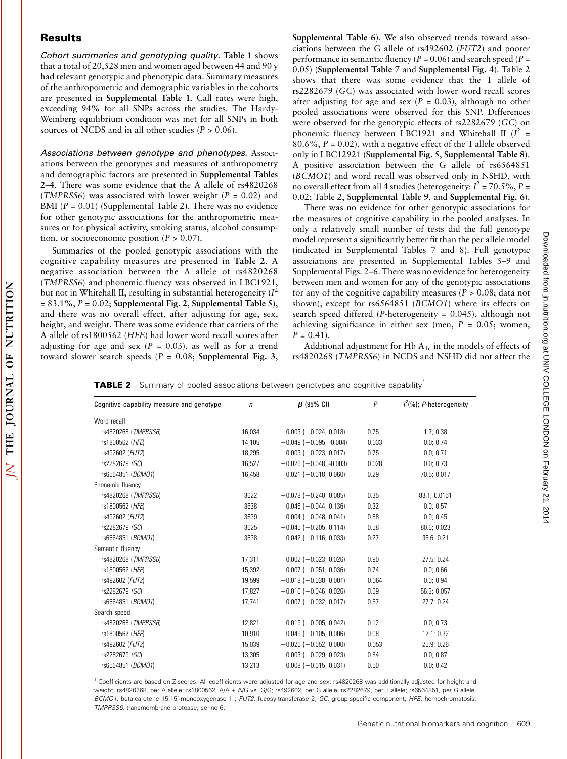## **Results**

Cohort summaries and genotyping quality. Table 1 shows that a total of 20,528 men and women aged between 44 and 90 y had relevant genotypic and phenotypic data. Summary measures of the anthropometric and demographic variables in the cohorts are presented in Supplemental Table 1. Call rates were high, exceeding 94% for all SNPs across the studies. The Hardy-Weinberg equilibrium condition was met for all SNPs in both sources of NCDS and in all other studies ( $P > 0.06$ ).

Associations between genotype and phenotypes. Associations between the genotypes and measures of anthropometry and demographic factors are presented in Supplemental Tables 2–4. There was some evidence that the A allele of rs4820268 (TMPRSS6) was associated with lower weight ( $P = 0.02$ ) and BMI ( $P = 0.01$ ) (Supplemental Table 2). There was no evidence for other genotypic associations for the anthropometric measures or for physical activity, smoking status, alcohol consumption, or socioeconomic position  $(P > 0.07)$ .

Summaries of the pooled genotypic associations with the cognitive capability measures are presented in Table 2. A negative association between the A allele of rs4820268 (TMPRSS6) and phonemic fluency was observed in LBC1921, but not in Whitehall II, resulting in substantial heterogeneity  $(I^2)$  $= 83.1\%, P = 0.02$ ; Supplemental Fig. 2, Supplemental Table 5), and there was no overall effect, after adjusting for age, sex, height, and weight. There was some evidence that carriers of the A allele of rs1800562 (HFE) had lower word recall scores after adjusting for age and sex  $(P = 0.03)$ , as well as for a trend toward slower search speeds ( $P = 0.08$ ; Supplemental Fig. 3, Supplemental Table 6). We also observed trends toward associations between the G allele of rs492602 (FUT2) and poorer performance in semantic fluency ( $P = 0.06$ ) and search speed ( $P =$ 0.05) (Supplemental Table 7 and Supplemental Fig. 4). Table 2 shows that there was some evidence that the T allele of rs2282679 (GC) was associated with lower word recall scores after adjusting for age and sex ( $P = 0.03$ ), although no other pooled associations were observed for this SNP. Differences were observed for the genotypic effects of rs2282679 (GC) on phonemic fluency between LBC1921 and Whitehall II  $(I^2 =$ 80.6%,  $P = 0.02$ , with a negative effect of the T allele observed only in LBC12921 (Supplemental Fig. 5, Supplemental Table 8). A positive association between the G allele of rs6564851 (BCMO1) and word recall was observed only in NSHD, with no overall effect from all 4 studies (heterogeneity:  $I^2 = 70.5\%$ , P = 0.02; Table 2, Supplemental Table 9, and Supplemental Fig. 6).

There was no evidence for other genotypic associations for the measures of cognitive capability in the pooled analyses. In only a relatively small number of tests did the full genotype model represent a significantly better fit than the per allele model (indicated in Supplemental Tables 7 and 8). Full genotypic associations are presented in Supplemental Tables 5–9 and Supplemental Figs. 2–6. There was no evidence for heterogeneity between men and women for any of the genotypic associations for any of the cognitive capability measures ( $P > 0.08$ ; data not shown), except for rs6564851 (BCMO1) where its effects on search speed differed (P-heterogeneity = 0.045), although not achieving significance in either sex (men,  $P = 0.05$ ; women,  $P = 0.41$ .

Additional adjustment for Hb  $A_{1c}$  in the models of effects of rs4820268 (TMPRSS6) in NCDS and NSHD did not affect the

**TABLE 2** Summary of pooled associations between genotypes and cognitive capability<sup>1</sup>

| Cognitive capability measure and genotype | $\mathsf{n}$ | $\beta$ (95% CI)                 | $\overline{P}$ | $I^2(\%)$ ; P-heterogeneity |
|-------------------------------------------|--------------|----------------------------------|----------------|-----------------------------|
| Word recall                               |              |                                  |                |                             |
| rs4820268 (TMPRSS6)                       | 16,034       | $-0.003(-0.024, 0.018)$          | 0.75           | 1.7:0.38                    |
| rs1800562 (HFE)                           | 14,105       | $-0.049$ ( $-0.095$ , $-0.004$ ) | 0.033          | 0.0; 0.74                   |
| rs492602 (FUT2)                           | 18,295       | $-0.003$ ( $-0.023$ , 0.017)     | 0.75           | 0.0; 0.71                   |
| rs2282679 (GC)                            | 16,527       | $-0.026$ ( $-0.048$ . $-0.003$ ) | 0.028          | 0.0:0.73                    |
| rs6564851 (BCMO1)                         | 16,458       | $0.021$ (-0.018, 0.060)          | 0.29           | 70.5: 0.017                 |
| Phonemic fluency                          |              |                                  |                |                             |
| rs4820268 (TMPRSS6)                       | 3622         | $-0.078$ ( $-0.240$ , 0.085)     | 0.35           | 83.1: 0.0151                |
| rs1800562 (HFE)                           | 3638         | $0.046$ ( $-0.044$ , 0.136)      | 0.32           | 0.0; 0.57                   |
| rs492602 (FUT2)                           | 3639         | $-0.004$ ( $-0.048$ , 0.041)     | 0.88           | 0.0; 0.45                   |
| rs2282679 (GC)                            | 3625         | $-0.045$ ( $-0.205$ , 0.114)     | 0.58           | 80.6; 0.023                 |
| rs6564851 ( <i>BCM01</i> )                | 3638         | $-0.042$ ( $-0.116$ , 0.033)     | 0.27           | 36.6; 0.21                  |
| Semantic fluency                          |              |                                  |                |                             |
| rs4820268 (TMPRSS6)                       | 17.311       | $0.002 (-0.023, 0.026)$          | 0.90           | 27.5:0.24                   |
| rs1800562 (HFE)                           | 15,392       | $-0.007$ ( $-0.051$ , 0.036)     | 0.74           | 0.0; 0.66                   |
| rs492602 (FUT2)                           | 19,599       | $-0.018(-0.038, 0.001)$          | 0.064          | 0.0; 0.94                   |
| rs2282679 (GC)                            | 17,827       | $-0.010$ ( $-0.046$ , 0.026)     | 0.59           | 56.3; 0.057                 |
| rs6564851 (BCMO1)                         | 17.741       | $-0.007$ ( $-0.032$ , 0.017)     | 0.57           | 27.7:0.24                   |
| Search speed                              |              |                                  |                |                             |
| rs4820268 (TMPRSS6)                       | 12.821       | $0.019(-0.005, 0.042)$           | 0.12           | 0.0:0.73                    |
| rs1800562 (HFE)                           | 10.910       | $-0.049(-0.105, 0.006)$          | 0.08           | 12.1:0.32                   |
| rs492602 (FUT2)                           | 15,039       | $-0.026$ ( $-0.052$ , 0.000)     | 0.053          | 25.9; 0.26                  |
| rs2282679 (GC)                            | 13,305       | $-0.003$ ( $-0.029$ , 0.023)     | 0.84           | 0.0; 0.87                   |
| rs6564851 (BCMO1)                         | 13,213       | $0.008 (-0.015, 0.031)$          | 0.50           | 0.0; 0.42                   |

<sup>1</sup> Coefficients are based on Z-scores. All coefficients were adjusted for age and sex; rs4820268 was additionally adjusted for height and weight. rs4820268, per A allele; rs1800562, A/A + A/G vs. G/G; rs492602, per G allele; rs2282679, per T allele; rs6564851, per G allele. BCMO1, beta-carotene 15,15'-monooxygenase 1 ; FUT2, fucosyltransferase 2; GC, group-specific component; HFE, hemochromatosis; TMPRSS6, transmembrane protease, serine 6.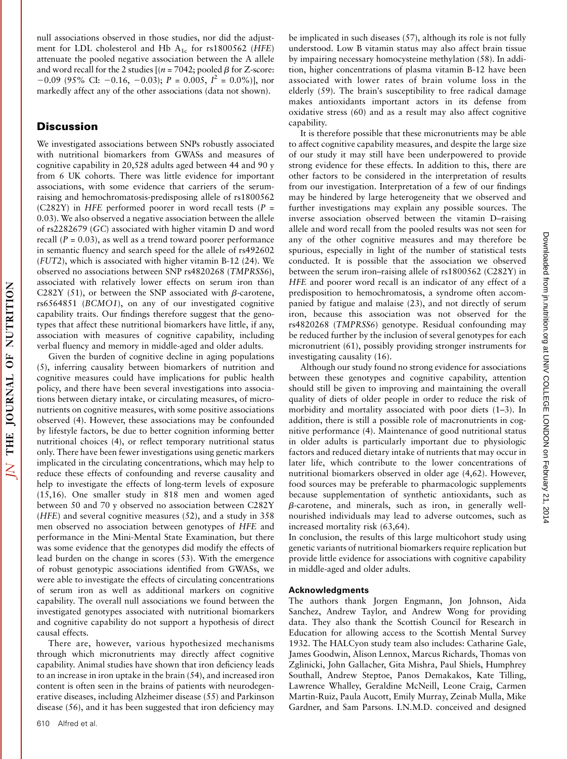null associations observed in those studies, nor did the adjustment for LDL cholesterol and Hb  $A_{1c}$  for rs1800562 (HFE) attenuate the pooled negative association between the A allele and word recall for the 2 studies  $[(n = 7042; pooled \beta for Z-score:$  $-0.09$  (95% CI:  $-0.16$ ,  $-0.03$ );  $P = 0.005$ ,  $I^2 = 0.0\%$ )], nor markedly affect any of the other associations (data not shown).

# **Discussion**

We investigated associations between SNPs robustly associated with nutritional biomarkers from GWASs and measures of cognitive capability in 20,528 adults aged between 44 and 90 y from 6 UK cohorts. There was little evidence for important associations, with some evidence that carriers of the serumraising and hemochromatosis-predisposing allele of rs1800562 (C282Y) in HFE performed poorer in word recall tests ( $P =$ 0.03). We also observed a negative association between the allele of rs2282679 (GC) associated with higher vitamin D and word recall  $(P = 0.03)$ , as well as a trend toward poorer performance in semantic fluency and search speed for the allele of rs492602 (FUT2), which is associated with higher vitamin B-12 (24). We observed no associations between SNP rs4820268 (TMPRSS6), associated with relatively lower effects on serum iron than C282Y (51), or between the SNP associated with  $\beta$ -carotene, rs6564851 (BCMO1), on any of our investigated cognitive capability traits. Our findings therefore suggest that the genotypes that affect these nutritional biomarkers have little, if any, association with measures of cognitive capability, including verbal fluency and memory in middle-aged and older adults.

Given the burden of cognitive decline in aging populations (5), inferring causality between biomarkers of nutrition and cognitive measures could have implications for public health policy, and there have been several investigations into associations between dietary intake, or circulating measures, of micronutrients on cognitive measures, with some positive associations observed (4). However, these associations may be confounded by lifestyle factors, be due to better cognition informing better nutritional choices (4), or reflect temporary nutritional status only. There have been fewer investigations using genetic markers implicated in the circulating concentrations, which may help to reduce these effects of confounding and reverse causality and help to investigate the effects of long-term levels of exposure (15,16). One smaller study in 818 men and women aged between 50 and 70 y observed no association between C282Y (HFE) and several cognitive measures (52), and a study in 358 men observed no association between genotypes of HFE and performance in the Mini-Mental State Examination, but there was some evidence that the genotypes did modify the effects of lead burden on the change in scores (53). With the emergence of robust genotypic associations identified from GWASs, we were able to investigate the effects of circulating concentrations of serum iron as well as additional markers on cognitive capability. The overall null associations we found between the investigated genotypes associated with nutritional biomarkers and cognitive capability do not support a hypothesis of direct causal effects.

There are, however, various hypothesized mechanisms through which micronutrients may directly affect cognitive capability. Animal studies have shown that iron deficiency leads to an increase in iron uptake in the brain (54), and increased iron content is often seen in the brains of patients with neurodegenerative diseases, including Alzheimer disease (55) and Parkinson disease (56), and it has been suggested that iron deficiency may

be implicated in such diseases (57), although its role is not fully understood. Low B vitamin status may also affect brain tissue by impairing necessary homocysteine methylation (58). In addition, higher concentrations of plasma vitamin B-12 have been associated with lower rates of brain volume loss in the elderly (59). The brain's susceptibility to free radical damage makes antioxidants important actors in its defense from oxidative stress (60) and as a result may also affect cognitive capability.

It is therefore possible that these micronutrients may be able to affect cognitive capability measures, and despite the large size of our study it may still have been underpowered to provide strong evidence for these effects. In addition to this, there are other factors to be considered in the interpretation of results from our investigation. Interpretation of a few of our findings may be hindered by large heterogeneity that we observed and further investigations may explain any possible sources. The inverse association observed between the vitamin D–raising allele and word recall from the pooled results was not seen for any of the other cognitive measures and may therefore be spurious, especially in light of the number of statistical tests conducted. It is possible that the association we observed between the serum iron–raising allele of rs1800562 (C282Y) in HFE and poorer word recall is an indicator of any effect of a predisposition to hemochromatosis, a syndrome often accompanied by fatigue and malaise (23), and not directly of serum iron, because this association was not observed for the rs4820268 (TMPRSS6) genotype. Residual confounding may be reduced further by the inclusion of several genotypes for each micronutrient (61), possibly providing stronger instruments for investigating causality (16).

Although our study found no strong evidence for associations between these genotypes and cognitive capability, attention should still be given to improving and maintaining the overall quality of diets of older people in order to reduce the risk of morbidity and mortality associated with poor diets (1–3). In addition, there is still a possible role of macronutrients in cognitive performance (4). Maintenance of good nutritional status in older adults is particularly important due to physiologic factors and reduced dietary intake of nutrients that may occur in later life, which contribute to the lower concentrations of nutritional biomarkers observed in older age (4,62). However, food sources may be preferable to pharmacologic supplements because supplementation of synthetic antioxidants, such as  $\beta$ -carotene, and minerals, such as iron, in generally wellnourished individuals may lead to adverse outcomes, such as increased mortality risk (63,64).

In conclusion, the results of this large multicohort study using genetic variants of nutritional biomarkers require replication but provide little evidence for associations with cognitive capability in middle-aged and older adults.

## Acknowledgments

The authors thank Jorgen Engmann, Jon Johnson, Aida Sanchez, Andrew Taylor, and Andrew Wong for providing data. They also thank the Scottish Council for Research in Education for allowing access to the Scottish Mental Survey 1932. The HALCyon study team also includes: Catharine Gale, James Goodwin, Alison Lennox, Marcus Richards, Thomas von Zglinicki, John Gallacher, Gita Mishra, Paul Shiels, Humphrey Southall, Andrew Steptoe, Panos Demakakos, Kate Tilling, Lawrence Whalley, Geraldine McNeill, Leone Craig, Carmen Martin-Ruiz, Paula Aucott, Emily Murray, Zeinab Mulla, Mike Gardner, and Sam Parsons. I.N.M.D. conceived and designed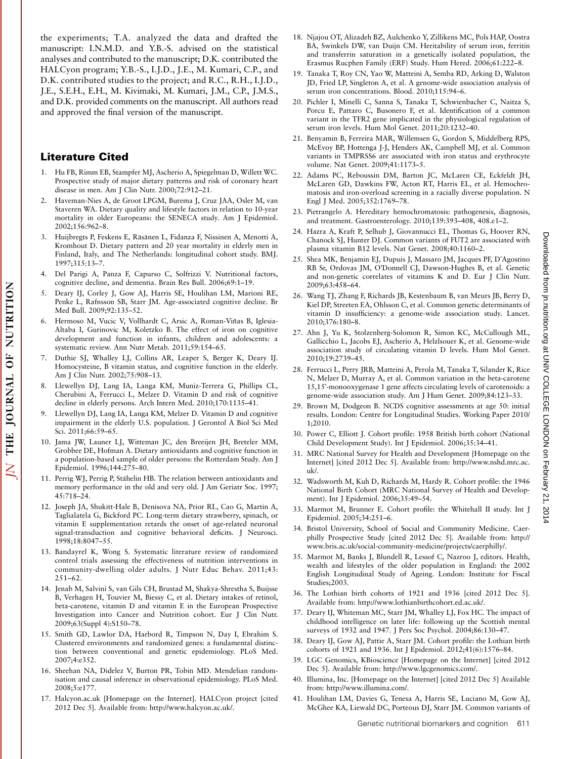the experiments; T.A. analyzed the data and drafted the manuscript: I.N.M.D. and Y.B.-S. advised on the statistical analyses and contributed to the manuscript; D.K. contributed the HALCyon program; Y.B.-S., I.J.D., J.E., M. Kumari, C.P., and D.K. contributed studies to the project; and R.C., R.H., I.J.D., J.E., S.E.H., E.H., M. Kivimaki, M. Kumari, J.M., C.P., J.M.S., and D.K. provided comments on the manuscript. All authors read and approved the final version of the manuscript.

## Literature Cited

- 1. Hu FB, Rimm EB, Stampfer MJ, Ascherio A, Spiegelman D, Willett WC. Prospective study of major dietary patterns and risk of coronary heart disease in men. Am J Clin Nutr. 2000;72:912–21.
- 2. Haveman-Nies A, de Groot LPGM, Burema J, Cruz JAA, Osler M, van Staveren WA. Dietary quality and lifestyle factors in relation to 10-year mortality in older Europeans: the SENECA study. Am J Epidemiol. 2002;156:962–8.
- Huijbregts P, Feskens E, Räsänen L, Fidanza F, Nissinen A, Menotti A, Kromhout D. Dietary pattern and 20 year mortality in elderly men in Finland, Italy, and The Netherlands: longitudinal cohort study. BMJ. 1997;315:13–7.
- 4. Del Parigi A, Panza F, Capurso C, Solfrizzi V. Nutritional factors, cognitive decline, and dementia. Brain Res Bull. 2006;69:1–19.
- 5. Deary IJ, Corley J, Gow AJ, Harris SE, Houlihan LM, Marioni RE, Penke L, Rafnsson SB, Starr JM. Age-associated cognitive decline. Br Med Bull. 2009;92:135–52.
- 6. Hermoso M, Vucic V, Vollhardt C, Arsic A, Roman-Viñas B, Iglesia-Altaba I, Gurinovic M, Koletzko B. The effect of iron on cognitive development and function in infants, children and adolescents: a systematic review. Ann Nutr Metab. 2011;59:154–65.
- 7. Duthie SJ, Whalley LJ, Collins AR, Leaper S, Berger K, Deary IJ. Homocysteine, B vitamin status, and cognitive function in the elderly. Am J Clin Nutr. 2002;75:908–13.
- 8. Llewellyn DJ, Lang IA, Langa KM, Muniz-Terrera G, Phillips CL, Cherubini A, Ferrucci L, Melzer D. Vitamin D and risk of cognitive decline in elderly persons. Arch Intern Med. 2010;170:1135–41.
- Llewellyn DJ, Lang IA, Langa KM, Melzer D. Vitamin D and cognitive impairment in the elderly U.S. population. J Gerontol A Biol Sci Med Sci. 2011;66:59–65.
- 10. Jama JW, Launer LJ, Witteman JC, den Breeijen JH, Breteler MM, Grobbee DE, Hofman A. Dietary antioxidants and cognitive function in a population-based sample of older persons: the Rotterdam Study. Am J Epidemiol. 1996;144:275–80.
- 11. Perrig WJ, Perrig P, Stähelin HB. The relation between antioxidants and memory performance in the old and very old. J Am Geriatr Soc. 1997; 45:718–24.
- 12. Joseph JA, Shukitt-Hale B, Denisova NA, Prior RL, Cao G, Martin A, Taglialatela G, Bickford PC. Long-term dietary strawberry, spinach, or vitamin E supplementation retards the onset of age-related neuronal signal-transduction and cognitive behavioral deficits. J Neurosci. 1998;18:8047–55.
- 13. Bandayrel K, Wong S. Systematic literature review of randomized control trials assessing the effectiveness of nutrition interventions in community-dwelling older adults. J Nutr Educ Behav. 2011;43: 251–62.
- 14. Jenab M, Salvini S, van Gils CH, Brustad M, Shakya-Shrestha S, Buijsse B, Verhagen H, Touvier M, Biessy C, et al. Dietary intakes of retinol, beta-carotene, vitamin D and vitamin E in the European Prospective Investigation into Cancer and Nutrition cohort. Eur J Clin Nutr. 2009;63(Suppl 4):S150–78.
- 15. Smith GD, Lawlor DA, Harbord R, Timpson N, Day I, Ebrahim S. Clustered environments and randomized genes: a fundamental distinction between conventional and genetic epidemiology. PLoS Med. 2007;4:e352.
- 16. Sheehan NA, Didelez V, Burton PR, Tobin MD. Mendelian randomisation and causal inference in observational epidemiology. PLoS Med. 2008;5:e177.
- 17. Halcyon.ac.uk [Homepage on the Internet]. HALCyon project [cited 2012 Dec 5]. Available from: http://www.halcyon.ac.uk/.
- 18. Njajou OT, Alizadeh BZ, Aulchenko Y, Zillikens MC, Pols HAP, Oostra BA, Swinkels DW, van Duijn CM. Heritability of serum iron, ferritin and transferrin saturation in a genetically isolated population, the Erasmus Rucphen Family (ERF) Study. Hum Hered. 2006;61:222–8.
- 19. Tanaka T, Roy CN, Yao W, Matteini A, Semba RD, Arking D, Walston JD, Fried LP, Singleton A, et al. A genome-wide association analysis of serum iron concentrations. Blood. 2010;115:94–6.
- 20. Pichler I, Minelli C, Sanna S, Tanaka T, Schwienbacher C, Naitza S, Porcu E, Pattaro C, Busonero F, et al. Identification of a common variant in the TFR2 gene implicated in the physiological regulation of serum iron levels. Hum Mol Genet. 2011;20:1232–40.
- 21. Benyamin B, Ferreira MAR, Willemsen G, Gordon S, Middelberg RPS, McEvoy BP, Hottenga J-J, Henders AK, Campbell MJ, et al. Common variants in TMPRSS6 are associated with iron status and erythrocyte volume. Nat Genet. 2009;41:1173–5.
- 22. Adams PC, Reboussin DM, Barton JC, McLaren CE, Eckfeldt JH, McLaren GD, Dawkins FW, Acton RT, Harris EL, et al. Hemochromatosis and iron-overload screening in a racially diverse population. N Engl J Med. 2005;352:1769–78.
- 23. Pietrangelo A. Hereditary hemochromatosis: pathogenesis, diagnosis, and treatment. Gastroenterology. 2010;139:393–408, 408.e1–2.
- 24. Hazra A, Kraft P, Selhub J, Giovannucci EL, Thomas G, Hoover RN, Chanock SJ, Hunter DJ. Common variants of FUT2 are associated with plasma vitamin B12 levels. Nat Genet. 2008;40:1160–2.
- 25. Shea MK, Benjamin EJ, Dupuis J, Massaro JM, Jacques PF, D'Agostino RB Sr, Ordovas JM, O'Donnell CJ, Dawson-Hughes B, et al. Genetic and non-genetic correlates of vitamins K and D. Eur J Clin Nutr. 2009;63:458–64.
- 26. Wang TJ, Zhang F, Richards JB, Kestenbaum B, van Meurs JB, Berry D, Kiel DP, Streeten EA, Ohlsson C, et al. Common genetic determinants of vitamin D insufficiency: a genome-wide association study. Lancet. 2010;376:180–8.
- 27. Ahn J, Yu K, Stolzenberg-Solomon R, Simon KC, McCullough ML, Gallicchio L, Jacobs EJ, Ascherio A, Helzlsouer K, et al. Genome-wide association study of circulating vitamin D levels. Hum Mol Genet. 2010;19:2739–45.
- 28. Ferrucci L, Perry JRB, Matteini A, Perola M, Tanaka T, Silander K, Rice N, Melzer D, Murray A, et al. Common variation in the beta-carotene 15,15-monooxygenase 1 gene affects circulating levels of carotenoids: a genome-wide association study. Am J Hum Genet. 2009;84:123–33.
- 29. Brown M, Dodgeon B. NCDS cognitive assessments at age 50: initial results. London: Centre for Longitudinal Studies. Working Paper 2010/ 1;2010.
- 30. Power C, Elliott J. Cohort profile: 1958 British birth cohort (National Child Development Study). Int J Epidemiol. 2006;35:34–41.
- 31. MRC National Survey for Health and Development [Homepage on the Internet] [cited 2012 Dec 5]. Available from: http://www.nshd.mrc.ac. uk/.
- 32. Wadsworth M, Kuh D, Richards M, Hardy R. Cohort profile: the 1946 National Birth Cohort (MRC National Survey of Health and Development). Int J Epidemiol. 2006;35:49–54.
- 33. Marmot M, Brunner E. Cohort profile: the Whitehall II study. Int J Epidemiol. 2005;34:251–6.
- 34. Bristol University, School of Social and Community Medicine. Caerphilly Prospective Study [cited 2012 Dec 5]. Available from: http:// www.bris.ac.uk/social-community-medicine/projects/caerphilly/.
- 35. Marmot M, Banks J, Blundell R, Lessof C, Nazroo J, editors. Health, wealth and lifestyles of the older population in England: the 2002 English Longitudinal Study of Ageing. London: Institute for Fiscal Studies;2003.
- 36. The Lothian birth cohorts of 1921 and 1936 [cited 2012 Dec 5]. Available from: http://www.lothianbirthcohort.ed.ac.uk/.
- 37. Deary IJ, Whiteman MC, Starr JM, Whalley LJ, Fox HC. The impact of childhood intelligence on later life: following up the Scottish mental surveys of 1932 and 1947. J Pers Soc Psychol. 2004;86:130–47.
- 38. Deary IJ, Gow AJ, Pattie A, Starr JM. Cohort profile: the Lothian birth cohorts of 1921 and 1936. Int J Epidemiol. 2012;41(6):1576–84.
- 39. LGC Genomics, KBioscience [Homepage on the Internet] [cited 2012 Dec 5]. Available from: http://www.lgcgenomics.com/.
- 40. Illumina, Inc. [Homepage on the Internet] [cited 2012 Dec 5] Available from: http://www.illumina.com/.
- 41. Houlihan LM, Davies G, Tenesa A, Harris SE, Luciano M, Gow AJ, McGhee KA, Liewald DC, Porteous DJ, Starr JM. Common variants of